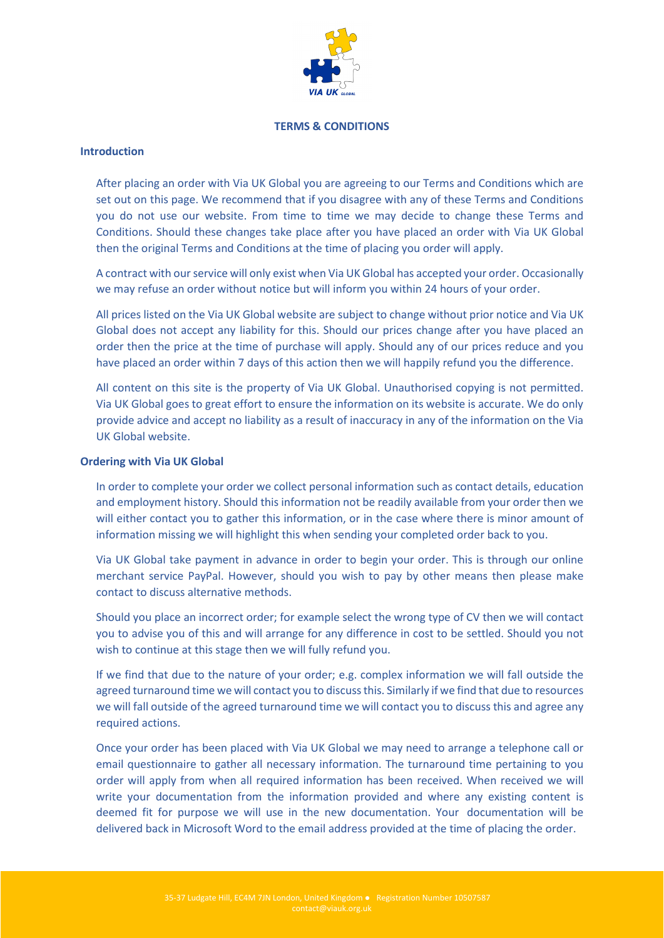

## **TERMS & CONDITIONS**

## **Introduction**

After placing an order with Via UK Global you are agreeing to our Terms and Conditions which are set out on this page. We recommend that if you disagree with any of these Terms and Conditions you do not use our website. From time to time we may decide to change these Terms and Conditions. Should these changes take place after you have placed an order with Via UK Global then the original Terms and Conditions at the time of placing you order will apply.

A contract with our service will only exist when Via UK Global has accepted your order. Occasionally we may refuse an order without notice but will inform you within 24 hours of your order.

All prices listed on the Via UK Global website are subject to change without prior notice and Via UK Global does not accept any liability for this. Should our prices change after you have placed an order then the price at the time of purchase will apply. Should any of our prices reduce and you have placed an order within 7 days of this action then we will happily refund you the difference.

All content on this site is the property of Via UK Global. Unauthorised copying is not permitted. Via UK Global goes to great effort to ensure the information on its website is accurate. We do only provide advice and accept no liability as a result of inaccuracy in any of the information on the Via UK Global website.

## **Ordering with Via UK Global**

In order to complete your order we collect personal information such as contact details, education and employment history. Should this information not be readily available from your order then we will either contact you to gather this information, or in the case where there is minor amount of information missing we will highlight this when sending your completed order back to you.

Via UK Global take payment in advance in order to begin your order. This is through our online merchant service PayPal. However, should you wish to pay by other means then please make contact to discuss alternative methods.

Should you place an incorrect order; for example select the wrong type of CV then we will contact you to advise you of this and will arrange for any difference in cost to be settled. Should you not wish to continue at this stage then we will fully refund you.

If we find that due to the nature of your order; e.g. complex information we will fall outside the agreed turnaround time we will contact you to discuss this. Similarly if we find that due to resources we will fall outside of the agreed turnaround time we will contact you to discuss this and agree any required actions.

Once your order has been placed with Via UK Global we may need to arrange a telephone call or email questionnaire to gather all necessary information. The turnaround time pertaining to you order will apply from when all required information has been received. When received we will write your documentation from the information provided and where any existing content is deemed fit for purpose we will use in the new documentation. Your documentation will be delivered back in Microsoft Word to the email address provided at the time of placing the order.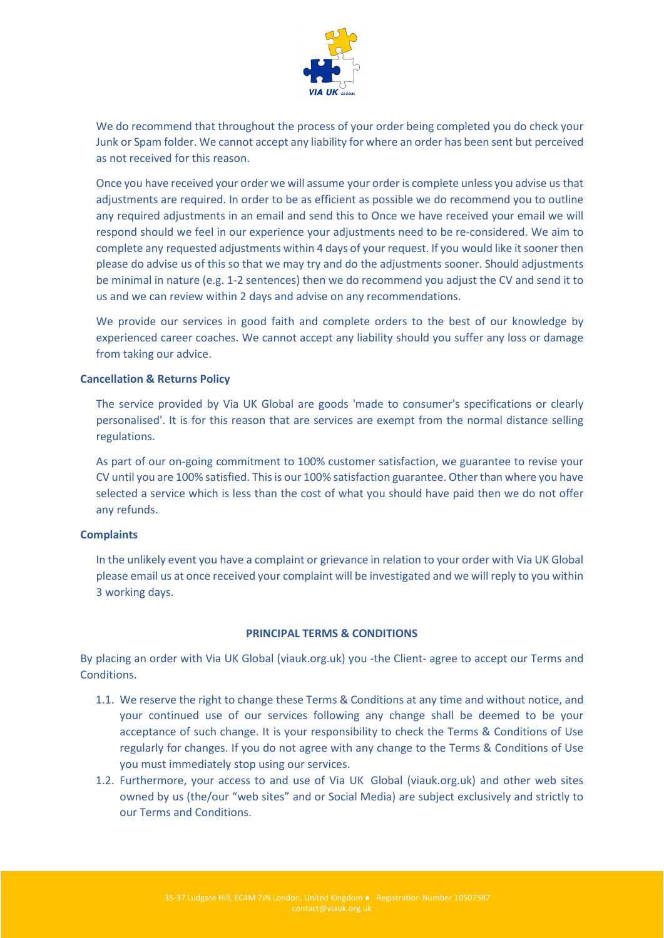

We do recommend that throughout the process of your order being completed you do check your Junk or Spam folder. We cannot accept any liability for where an order has been sent but perceived as not received for this reason.

Once you have received your order we will assume your order is complete unless you advise us that adjustments are required. In order to be as efficient as possible we do recommend you to outline any required adjustments in an email and send this to Once we have received your email we will respond should we feel in our experience your adjustments need to be re-considered. We aim to complete any requested adjustments within 4 days of your request. If you would like it sooner then please do advise us of this so that we may try and do the adjustments sooner. Should adjustments be minimal in nature (e.g. 1-2 sentences) then we do recommend you adjust the CV and send it to us and we can review within 2 days and advise on any recommendations.

We provide our services in good faith and complete orders to the best of our knowledge by experienced career coaches. We cannot accept any liability should you suffer any loss or damage from taking our advice.

## **Cancellation & Returns Policy**

The service provided by Via UK Global are goods 'made to consumer's specifications or clearly personalised'. It is for this reason that are services are exempt from the normal distance selling regulations.

As part of our on-going commitment to 100% customer satisfaction, we guarantee to revise your CV until you are 100% satisfied. This is our 100% satisfaction guarantee. Other than where you have selected a service which is less than the cost of what you should have paid then we do not offer any refunds.

#### **Complaints**

In the unlikely event you have a complaint or grievance in relation to your order with Via UK Global please email us at once received your complaint will be investigated and we will reply to you within 3 working days.

#### **PRINCIPAL TERMS & CONDITIONS**

By placing an order with Via UK Global (viauk.org.uk) you -the Client- agree to accept our Terms and Conditions.

- 1.1. We reserve the right to change these Terms & Conditions at any time and without notice, and your continued use of our services following any change shall be deemed to be your acceptance of such change. It is your responsibility to check the Terms & Conditions of Use regularly for changes. If you do not agree with any change to the Terms & Conditions of Use you must immediately stop using our services.
- 1.2. Furthermore, your access to and use of Via UK Global (viauk.org.uk) and other web sites owned by us (the/our "web sites" and or Social Media) are subject exclusively and strictly to our Terms and Conditions.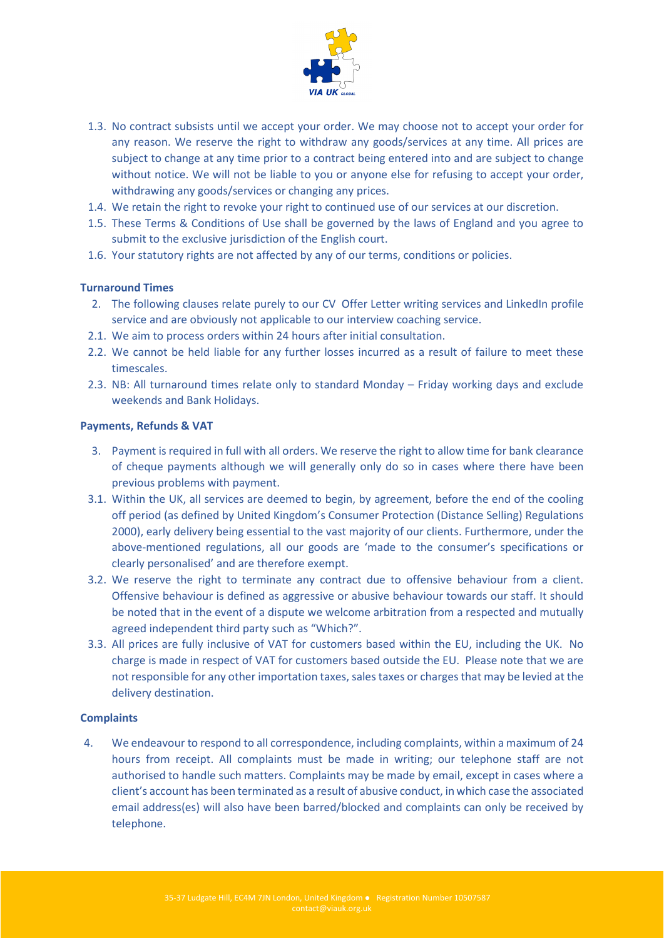

- 1.3. No contract subsists until we accept your order. We may choose not to accept your order for any reason. We reserve the right to withdraw any goods/services at any time. All prices are subject to change at any time prior to a contract being entered into and are subject to change without notice. We will not be liable to you or anyone else for refusing to accept your order, withdrawing any goods/services or changing any prices.
- 1.4. We retain the right to revoke your right to continued use of our services at our discretion.
- 1.5. These Terms & Conditions of Use shall be governed by the laws of England and you agree to submit to the exclusive jurisdiction of the English court.
- 1.6. Your statutory rights are not affected by any of our terms, conditions or policies.

# **Turnaround Times**

- 2. The following clauses relate purely to our CV Offer Letter writing services and LinkedIn profile service and are obviously not applicable to our interview coaching service.
- 2.1. We aim to process orders within 24 hours after initial consultation.
- 2.2. We cannot be held liable for any further losses incurred as a result of failure to meet these timescales.
- 2.3. NB: All turnaround times relate only to standard Monday Friday working days and exclude weekends and Bank Holidays.

## **Payments, Refunds & VAT**

- 3. Payment is required in full with all orders. We reserve the right to allow time for bank clearance of cheque payments although we will generally only do so in cases where there have been previous problems with payment.
- 3.1. Within the UK, all services are deemed to begin, by agreement, before the end of the cooling off period (as defined by United Kingdom's Consumer Protection (Distance Selling) Regulations 2000), early delivery being essential to the vast majority of our clients. Furthermore, under the above-mentioned regulations, all our goods are 'made to the consumer's specifications or clearly personalised' and are therefore exempt.
- 3.2. We reserve the right to terminate any contract due to offensive behaviour from a client. Offensive behaviour is defined as aggressive or abusive behaviour towards our staff. It should be noted that in the event of a dispute we welcome arbitration from a respected and mutually agreed independent third party such as "Which?".
- 3.3. All prices are fully inclusive of VAT for customers based within the EU, including the UK. No charge is made in respect of VAT for customers based outside the EU. Please note that we are not responsible for any other importation taxes, sales taxes or charges that may be levied at the delivery destination.

## **Complaints**

4. We endeavour to respond to all correspondence, including complaints, within a maximum of 24 hours from receipt. All complaints must be made in writing; our telephone staff are not authorised to handle such matters. Complaints may be made by email, except in cases where a client's account has been terminated as a result of abusive conduct, in which case the associated email address(es) will also have been barred/blocked and complaints can only be received by telephone.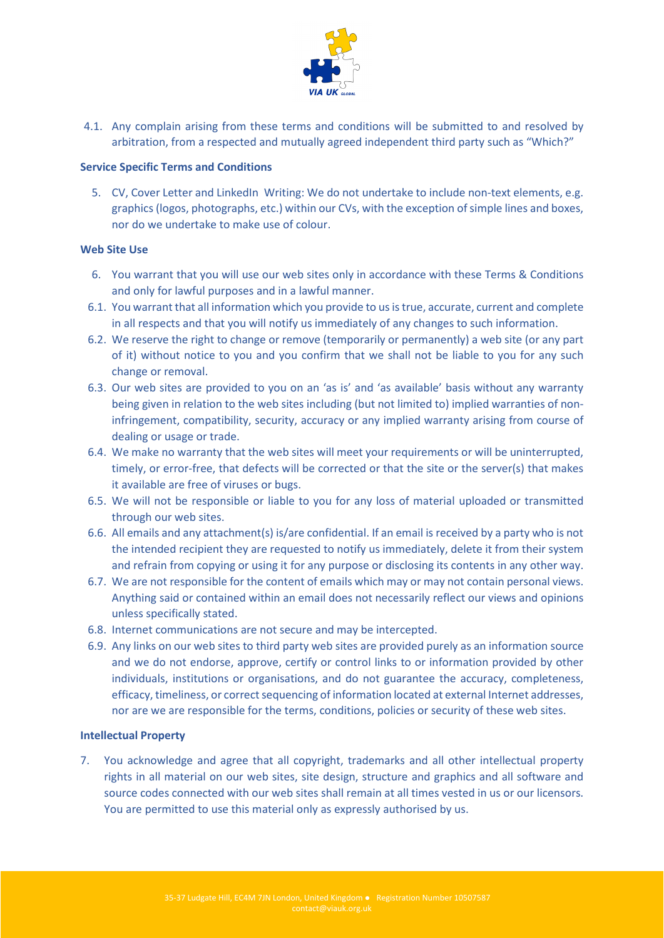

4.1. Any complain arising from these terms and conditions will be submitted to and resolved by arbitration, from a respected and mutually agreed independent third party such as "Which?"

## **Service Specific Terms and Conditions**

5. CV, Cover Letter and LinkedIn Writing: We do not undertake to include non-text elements, e.g. graphics (logos, photographs, etc.) within our CVs, with the exception of simple lines and boxes, nor do we undertake to make use of colour.

## **Web Site Use**

- 6. You warrant that you will use our web sites only in accordance with these Terms & Conditions and only for lawful purposes and in a lawful manner.
- 6.1. You warrant that all information which you provide to us is true, accurate, current and complete in all respects and that you will notify us immediately of any changes to such information.
- 6.2. We reserve the right to change or remove (temporarily or permanently) a web site (or any part of it) without notice to you and you confirm that we shall not be liable to you for any such change or removal.
- 6.3. Our web sites are provided to you on an 'as is' and 'as available' basis without any warranty being given in relation to the web sites including (but not limited to) implied warranties of noninfringement, compatibility, security, accuracy or any implied warranty arising from course of dealing or usage or trade.
- 6.4. We make no warranty that the web sites will meet your requirements or will be uninterrupted, timely, or error-free, that defects will be corrected or that the site or the server(s) that makes it available are free of viruses or bugs.
- 6.5. We will not be responsible or liable to you for any loss of material uploaded or transmitted through our web sites.
- 6.6. All emails and any attachment(s) is/are confidential. If an email is received by a party who is not the intended recipient they are requested to notify us immediately, delete it from their system and refrain from copying or using it for any purpose or disclosing its contents in any other way.
- 6.7. We are not responsible for the content of emails which may or may not contain personal views. Anything said or contained within an email does not necessarily reflect our views and opinions unless specifically stated.
- 6.8. Internet communications are not secure and may be intercepted.
- 6.9. Any links on our web sites to third party web sites are provided purely as an information source and we do not endorse, approve, certify or control links to or information provided by other individuals, institutions or organisations, and do not guarantee the accuracy, completeness, efficacy, timeliness, or correct sequencing of information located at external Internet addresses, nor are we are responsible for the terms, conditions, policies or security of these web sites.

## **Intellectual Property**

7. You acknowledge and agree that all copyright, trademarks and all other intellectual property rights in all material on our web sites, site design, structure and graphics and all software and source codes connected with our web sites shall remain at all times vested in us or our licensors. You are permitted to use this material only as expressly authorised by us.